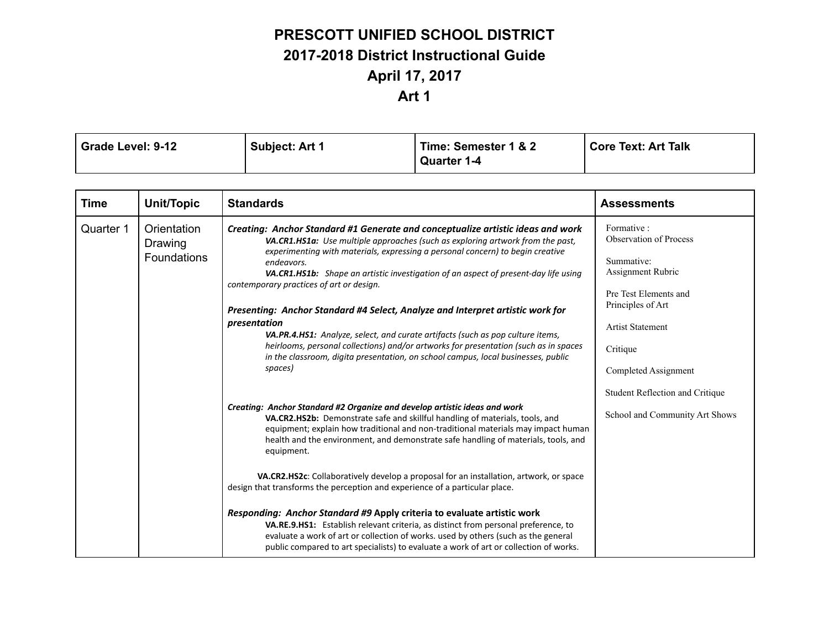# **PRESCOTT UNIFIED SCHOOL DISTRICT 2017-2018 District Instructional Guide April 17, 2017**

### **Art 1**

| Grade Level: 9-12 | <b>Subject: Art 1</b> | Time: Semester 1 & 2 | Core Text: Art Talk |
|-------------------|-----------------------|----------------------|---------------------|
|                   |                       | <b>Quarter 1-4</b>   |                     |

| <b>Time</b> | Unit/Topic                                                                                                                                                                                                                                                                                                                                                                                                                                                                                                                                                                                                                                                                                                                                                                                                                                                                                                                                                                                                                                                                                                                                                                                                                                                                                                                                                                                                                                 | <b>Standards</b>                                                                                                                                                                                                                                                  | <b>Assessments</b>                                                |
|-------------|--------------------------------------------------------------------------------------------------------------------------------------------------------------------------------------------------------------------------------------------------------------------------------------------------------------------------------------------------------------------------------------------------------------------------------------------------------------------------------------------------------------------------------------------------------------------------------------------------------------------------------------------------------------------------------------------------------------------------------------------------------------------------------------------------------------------------------------------------------------------------------------------------------------------------------------------------------------------------------------------------------------------------------------------------------------------------------------------------------------------------------------------------------------------------------------------------------------------------------------------------------------------------------------------------------------------------------------------------------------------------------------------------------------------------------------------|-------------------------------------------------------------------------------------------------------------------------------------------------------------------------------------------------------------------------------------------------------------------|-------------------------------------------------------------------|
| Quarter 1   | Orientation<br>Creating: Anchor Standard #1 Generate and conceptualize artistic ideas and work<br>VA.CR1.HS1a: Use multiple approaches (such as exploring artwork from the past,<br>Drawing<br>experimenting with materials, expressing a personal concern) to begin creative<br>Foundations<br>endeavors.<br><b>VA.CR1.HS1b:</b> Shape an artistic investigation of an aspect of present-day life using<br>contemporary practices of art or design.<br>Presenting: Anchor Standard #4 Select, Analyze and Interpret artistic work for<br>presentation<br>VA.PR.4.HS1: Analyze, select, and curate artifacts (such as pop culture items,<br>heirlooms, personal collections) and/or artworks for presentation (such as in spaces<br>in the classroom, digita presentation, on school campus, local businesses, public<br>spaces)<br>Creating: Anchor Standard #2 Organize and develop artistic ideas and work<br>VA.CR2.HS2b: Demonstrate safe and skillful handling of materials, tools, and<br>equipment.<br>design that transforms the perception and experience of a particular place.<br>Responding: Anchor Standard #9 Apply criteria to evaluate artistic work<br>VA.RE.9.HS1: Establish relevant criteria, as distinct from personal preference, to<br>evaluate a work of art or collection of works. used by others (such as the general<br>public compared to art specialists) to evaluate a work of art or collection of works. | Formative :<br>Observation of Process<br>Summative:<br><b>Assignment Rubric</b><br>Pre Test Elements and<br>Principles of Art<br><b>Artist Statement</b><br>Critique<br>Completed Assignment                                                                      |                                                                   |
|             |                                                                                                                                                                                                                                                                                                                                                                                                                                                                                                                                                                                                                                                                                                                                                                                                                                                                                                                                                                                                                                                                                                                                                                                                                                                                                                                                                                                                                                            | equipment; explain how traditional and non-traditional materials may impact human<br>health and the environment, and demonstrate safe handling of materials, tools, and<br>VA.CR2.HS2c: Collaboratively develop a proposal for an installation, artwork, or space | Student Reflection and Critique<br>School and Community Art Shows |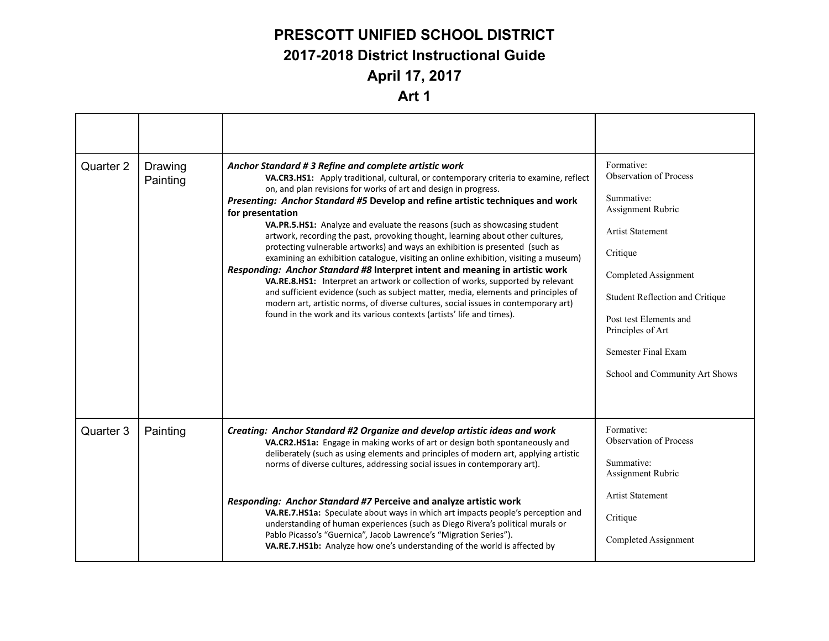### **PRESCOTT UNIFIED SCHOOL DISTRICT 2017-2018 District Instructional Guide April 17, 2017**

#### **Art 1**

| Quarter 2 | Drawing<br>Painting | Anchor Standard # 3 Refine and complete artistic work<br>VA.CR3.HS1: Apply traditional, cultural, or contemporary criteria to examine, reflect<br>on, and plan revisions for works of art and design in progress.<br>Presenting: Anchor Standard #5 Develop and refine artistic techniques and work<br>for presentation<br>VA.PR.5.HS1: Analyze and evaluate the reasons (such as showcasing student<br>artwork, recording the past, provoking thought, learning about other cultures,<br>protecting vulnerable artworks) and ways an exhibition is presented (such as<br>examining an exhibition catalogue, visiting an online exhibition, visiting a museum)<br>Responding: Anchor Standard #8 Interpret intent and meaning in artistic work<br>VA.RE.8.HS1: Interpret an artwork or collection of works, supported by relevant<br>and sufficient evidence (such as subject matter, media, elements and principles of<br>modern art, artistic norms, of diverse cultures, social issues in contemporary art)<br>found in the work and its various contexts (artists' life and times). | Formative:<br><b>Observation of Process</b><br>Summative:<br>Assignment Rubric<br><b>Artist Statement</b><br>Critique<br>Completed Assignment<br>Student Reflection and Critique<br>Post test Elements and<br>Principles of Art<br>Semester Final Exam<br>School and Community Art Shows |
|-----------|---------------------|-----------------------------------------------------------------------------------------------------------------------------------------------------------------------------------------------------------------------------------------------------------------------------------------------------------------------------------------------------------------------------------------------------------------------------------------------------------------------------------------------------------------------------------------------------------------------------------------------------------------------------------------------------------------------------------------------------------------------------------------------------------------------------------------------------------------------------------------------------------------------------------------------------------------------------------------------------------------------------------------------------------------------------------------------------------------------------------------|------------------------------------------------------------------------------------------------------------------------------------------------------------------------------------------------------------------------------------------------------------------------------------------|
| Quarter 3 | Painting            | Creating: Anchor Standard #2 Organize and develop artistic ideas and work<br>VA.CR2.HS1a: Engage in making works of art or design both spontaneously and<br>deliberately (such as using elements and principles of modern art, applying artistic<br>norms of diverse cultures, addressing social issues in contemporary art).                                                                                                                                                                                                                                                                                                                                                                                                                                                                                                                                                                                                                                                                                                                                                           | Formative:<br>Observation of Process<br>Summative:<br>Assignment Rubric                                                                                                                                                                                                                  |
|           |                     | Responding: Anchor Standard #7 Perceive and analyze artistic work<br>VA.RE.7.HS1a: Speculate about ways in which art impacts people's perception and<br>understanding of human experiences (such as Diego Rivera's political murals or<br>Pablo Picasso's "Guernica", Jacob Lawrence's "Migration Series").<br>VA.RE.7.HS1b: Analyze how one's understanding of the world is affected by                                                                                                                                                                                                                                                                                                                                                                                                                                                                                                                                                                                                                                                                                                | <b>Artist Statement</b><br>Critique<br>Completed Assignment                                                                                                                                                                                                                              |